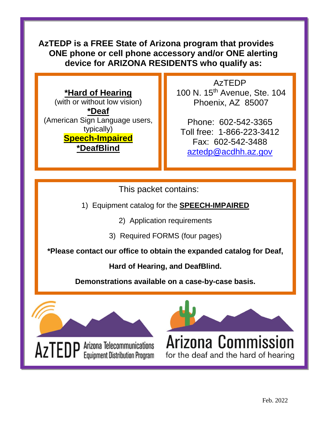# **AzTEDP is a FREE State of Arizona program that provides ONE phone or cell phone accessory and/or ONE alerting device for ARIZONA RESIDENTS who qualify as:**

### **\*Hard of Hearing**

(with or without low vision) **\*Deaf**  (American Sign Language users, typically) **Speech-Impaired \*DeafBlind**

AzTEDP 100 N. 15th Avenue, Ste. 104 Phoenix, AZ 85007

Phone: 602-542-3365 Toll free: 1-866-223-3412 Fax: 602-542-3488 [aztedp@acdhh.az.gov](mailto:aztedp@acdhh.az.gov)

This packet contains:

1) Equipment catalog for the **SPEECH-IMPAIRED**

2) Application requirements

3) Required FORMS (four pages)

**\*Please contact our office to obtain the expanded catalog for Deaf,** 

**Hard of Hearing, and DeafBlind.** 

**Demonstrations available on a case-by-case basis.**

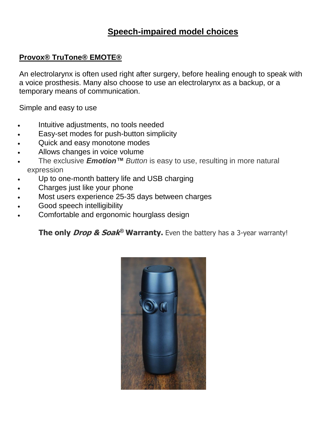# **Speech-impaired model choices**

#### **Provox® TruTone® EMOTE®**

An electrolarynx is often used right after surgery, before healing enough to speak with a voice prosthesis. Many also choose to use an electrolarynx as a backup, or a temporary means of communication.

Simple and easy to use

- Intuitive adjustments, no tools needed
- Easy-set modes for push-button simplicity
- Quick and easy monotone modes
- Allows changes in voice volume
- The exclusive *Emotion™ Button* is easy to use, resulting in more natural expression
- Up to one-month battery life and USB charging
- Charges just like your phone
- Most users experience 25-35 days between charges
- Good speech intelligibility
- Comfortable and ergonomic hourglass design

**The only Drop & Soak ® Warranty.** Even the battery has a 3-year warranty!

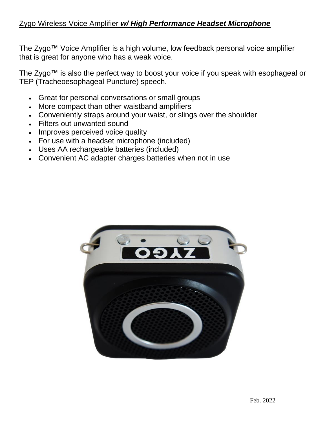#### Zygo Wireless Voice Amplifier *w/ High Performance Headset Microphone*

The Zygo™ Voice Amplifier is a high volume, low feedback personal voice amplifier that is great for anyone who has a weak voice.

The Zygo™ is also the perfect way to boost your voice if you speak with esophageal or TEP (Tracheoesophageal Puncture) speech.

- Great for personal conversations or small groups
- More compact than other waistband amplifiers
- Conveniently straps around your waist, or slings over the shoulder
- Filters out unwanted sound
- Improves perceived voice quality
- For use with a headset microphone (included)
- Uses AA rechargeable batteries (included)
- Convenient AC adapter charges batteries when not in use

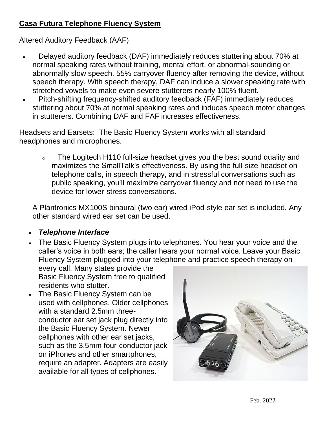### **Casa Futura Telephone Fluency System**

Altered Auditory Feedback (AAF)

- Delayed auditory feedback (DAF) immediately reduces stuttering about 70% at normal speaking rates without training, mental effort, or abnormal-sounding or abnormally slow speech. 55% carryover fluency after removing the device, without speech therapy. With speech therapy, DAF can induce a slower speaking rate with stretched vowels to make even severe stutterers nearly 100% fluent.
- Pitch-shifting frequency-shifted auditory feedback (FAF) immediately reduces stuttering about 70% at normal speaking rates and induces speech motor changes in stutterers. Combining DAF and FAF increases effectiveness.

Headsets and Earsets: The Basic Fluency System works with all standard headphones and microphones.

o The Logitech H110 full-size headset gives you the best sound quality and maximizes the SmallTalk's effectiveness. By using the full-size headset on telephone calls, in speech therapy, and in stressful conversations such as public speaking, you'll maximize carryover fluency and not need to use the device for lower-stress conversations.

A Plantronics MX100S binaural (two ear) wired iPod-style ear set is included. Any other standard wired ear set can be used.

- *Telephone Interface*
- The Basic Fluency System plugs into telephones. You hear your voice and the caller's voice in both ears; the caller hears your normal voice. Leave your Basic Fluency System plugged into your telephone and practice speech therapy on

every call. Many states provide the Basic Fluency System free to qualified residents who stutter.

• The Basic Fluency System can be used with cellphones. Older cellphones with a standard 2.5mm threeconductor ear set jack plug directly into the Basic Fluency System. Newer cellphones with other ear set jacks, such as the 3.5mm four-conductor jack on iPhones and other smartphones, require an adapter. Adapters are easily available for all types of cellphones.

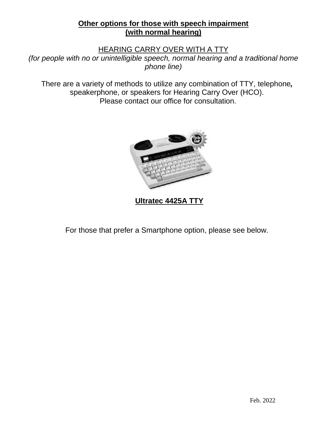#### **Other options for those with speech impairment (with normal hearing)**

#### HEARING CARRY OVER WITH A TTY

*(for people with no or unintelligible speech, normal hearing and a traditional home phone line)*

There are a variety of methods to utilize any combination of TTY, telephone*,*  speakerphone, or speakers for Hearing Carry Over (HCO). Please contact our office for consultation.



**Ultratec 4425A TTY**

For those that prefer a Smartphone option, please see below.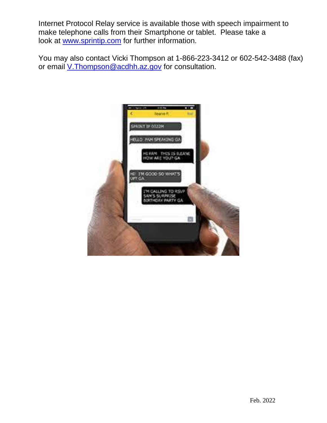Internet Protocol Relay service is available those with speech impairment to make telephone calls from their Smartphone or tablet. Please take a look at [www.sprintip.com](http://www.sprintip.com/) for further information.

You may also contact Vicki Thompson at 1-866-223-3412 or 602-542-3488 (fax) or email [V.Thompson@acdhh.az.gov](mailto:V.Thompson@acdhh.az.gov) for consultation.

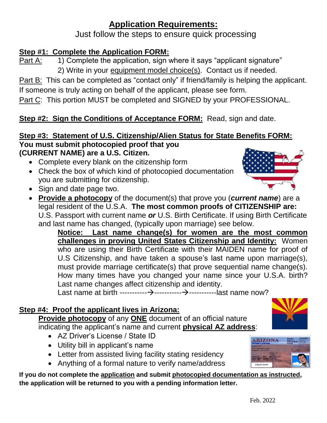# **Application Requirements:**

Just follow the steps to ensure quick processing

# **Step #1: Complete the Application FORM:**

Part A: 1) Complete the application, sign where it says "applicant signature" 2) Write in your equipment model choice(s). Contact us if needed.

Part B: This can be completed as "contact only" if friend/family is helping the applicant. If someone is truly acting on behalf of the applicant, please see form.

Part C: This portion MUST be completed and SIGNED by your PROFESSIONAL.

# **Step #2: Sign the Conditions of Acceptance FORM: Read, sign and date.**

#### **Step #3: Statement of U.S. Citizenship/Alien Status for State Benefits FORM: You must submit photocopied proof that you (CURRENT NAME) are a U.S. Citizen.**

- Complete every blank on the citizenship form
- Check the box of which kind of photocopied documentation you are submitting for citizenship.
- Sign and date page two.
- **Provide a photocopy** of the document(s) that prove you (*current name*) are a legal resident of the U.S.A. **The most common proofs of CITIZENSHIP are:** U.S. Passport with current name *or* U.S. Birth Certificate. If using Birth Certificate and last name has changed, (typically upon marriage) see below.

**Notice: Last name change(s) for women are the most common challenges in proving United States Citizenship and Identity:** Women who are using their Birth Certificate with their MAIDEN name for proof of U.S Citizenship, and have taken a spouse's last name upon marriage(s), must provide marriage certificate(s) that prove sequential name change(s). How many times have you changed your name since your U.S.A. birth? Last name changes affect citizenship and identity.

Last name at birth -----------→-----------→-----------last name now?

## **Step #4: Proof the applicant lives in Arizona:**

**Provide photocopy** of any **ONE** document of an official nature indicating the applicant's name and current **physical AZ address**:

- AZ Driver's License / State ID
- Utility bill in applicant's name
- Letter from assisted living facility stating residency
- Anything of a formal nature to verify name/address

**If you do not complete the application and submit photocopied documentation as instructed, the application will be returned to you with a pending information letter.** 



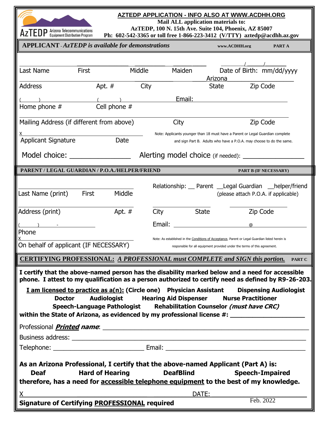

#### **AZTEDP APPLICATION - INFO ALSO AT WWW.ACDHH.ORG**

**Mail ALL application materials to:**

**AzTEDP, 100 N. 15th Ave. Suite 104, Phoenix, AZ 85007**

| $\mathsf{H}\mathsf{Z}$ I $\mathsf{E}\mathsf{U}\mathsf{\Gamma}$ Equipment Distribution Program                                                                                                          |                                                                                                                        |               |              | Ph: 602-542-3365 or toll free 1-866-223-3412 (V/TTY) aztedp@acdhh.az.gov                                                                                                     |                               |  |
|--------------------------------------------------------------------------------------------------------------------------------------------------------------------------------------------------------|------------------------------------------------------------------------------------------------------------------------|---------------|--------------|------------------------------------------------------------------------------------------------------------------------------------------------------------------------------|-------------------------------|--|
| <b>APPLICANT</b> - AzTEDP is available for demonstrations                                                                                                                                              |                                                                                                                        | www.ACDHH.org | PART A       |                                                                                                                                                                              |                               |  |
|                                                                                                                                                                                                        |                                                                                                                        |               |              |                                                                                                                                                                              |                               |  |
| <b>First</b><br>Last Name                                                                                                                                                                              |                                                                                                                        | Middle        | Maiden       |                                                                                                                                                                              | Date of Birth: mm/dd/yyyy     |  |
|                                                                                                                                                                                                        |                                                                                                                        |               |              | Arizona                                                                                                                                                                      |                               |  |
| <b>Address</b>                                                                                                                                                                                         | Apt. $#$                                                                                                               | City          |              | <b>State</b>                                                                                                                                                                 | Zip Code                      |  |
|                                                                                                                                                                                                        |                                                                                                                        |               | Email:       |                                                                                                                                                                              |                               |  |
| Home phone #                                                                                                                                                                                           | Cell phone #                                                                                                           |               |              |                                                                                                                                                                              |                               |  |
| Mailing Address (if different from above)                                                                                                                                                              |                                                                                                                        |               | City         |                                                                                                                                                                              | Zip Code                      |  |
|                                                                                                                                                                                                        |                                                                                                                        |               |              | Note: Applicants younger than 18 must have a Parent or Legal Guardian complete                                                                                               |                               |  |
| <b>Applicant Signature</b>                                                                                                                                                                             | Date                                                                                                                   |               |              | and sign Part B. Adults who have a P.O.A. may choose to do the same.                                                                                                         |                               |  |
|                                                                                                                                                                                                        | Model choice: ________________<br>Alerting model choice (if needed):                                                   |               |              |                                                                                                                                                                              |                               |  |
| PARENT / LEGAL GUARDIAN / P.O.A./HELPER/FRIEND                                                                                                                                                         |                                                                                                                        |               |              |                                                                                                                                                                              | PART B (IF NECESSARY)         |  |
|                                                                                                                                                                                                        |                                                                                                                        |               |              |                                                                                                                                                                              |                               |  |
| Last Name (print)                                                                                                                                                                                      | First<br>Middle                                                                                                        |               |              | Relationship: Parent Legal Guardian helper/friend<br>(please attach P.O.A. if applicable)                                                                                    |                               |  |
|                                                                                                                                                                                                        |                                                                                                                        |               |              |                                                                                                                                                                              |                               |  |
| Address (print)                                                                                                                                                                                        | Apt. #                                                                                                                 | City          | <b>State</b> |                                                                                                                                                                              | Zip Code                      |  |
|                                                                                                                                                                                                        |                                                                                                                        | Email:        |              | $^\circledR$                                                                                                                                                                 |                               |  |
| Phone                                                                                                                                                                                                  |                                                                                                                        |               |              |                                                                                                                                                                              |                               |  |
| On behalf of applicant (IF NECESSARY)                                                                                                                                                                  |                                                                                                                        |               |              | Note: As established in the Conditions of Acceptance, Parent or Legal Guardian listed herein is<br>responsible for all equipment provided under the terms of this agreement. |                               |  |
| <b>CERTIFYING PROFESSIONAL: A PROFESSIONAL must COMPLETE and SIGN this portion.</b>                                                                                                                    |                                                                                                                        |               |              |                                                                                                                                                                              | <b>PART C</b>                 |  |
|                                                                                                                                                                                                        |                                                                                                                        |               |              |                                                                                                                                                                              |                               |  |
| I certify that the above-named person has the disability marked below and a need for accessible<br>phone. I attest to my qualification as a person authorized to certify need as defined by R9-26-203. |                                                                                                                        |               |              |                                                                                                                                                                              |                               |  |
| <b>I</b> am licensed to practice as $a(n)$ : (Circle one) Physician Assistant                                                                                                                          |                                                                                                                        |               |              |                                                                                                                                                                              | <b>Dispensing Audiologist</b> |  |
| <b>Doctor</b>                                                                                                                                                                                          | <b>Audiologist Hearing Aid Dispenser</b>                                                                               |               |              | <b>Nurse Practitioner</b>                                                                                                                                                    |                               |  |
|                                                                                                                                                                                                        |                                                                                                                        |               |              | Speech-Language Pathologist Rehabilitation Counselor (must have CRC)                                                                                                         |                               |  |
| within the State of Arizona, as evidenced by my professional license #: ____________________________                                                                                                   |                                                                                                                        |               |              |                                                                                                                                                                              |                               |  |
|                                                                                                                                                                                                        |                                                                                                                        |               |              |                                                                                                                                                                              |                               |  |
|                                                                                                                                                                                                        |                                                                                                                        |               |              |                                                                                                                                                                              |                               |  |
|                                                                                                                                                                                                        |                                                                                                                        |               |              |                                                                                                                                                                              |                               |  |
|                                                                                                                                                                                                        |                                                                                                                        |               |              |                                                                                                                                                                              |                               |  |
| As an Arizona Professional, I certify that the above-named Applicant (Part A) is:                                                                                                                      |                                                                                                                        |               |              |                                                                                                                                                                              |                               |  |
| <b>Hard of Hearing</b><br><b>DeafBlind</b><br><b>Deaf</b><br><b>Speech-Impaired</b>                                                                                                                    |                                                                                                                        |               |              |                                                                                                                                                                              |                               |  |
| therefore, has a need for accessible telephone equipment to the best of my knowledge.                                                                                                                  |                                                                                                                        |               |              |                                                                                                                                                                              |                               |  |
| X.                                                                                                                                                                                                     | <u> 1980 - Johann Barn, mars ann an t-Amhain ann an t-Amhain an t-Amhain an t-Amhain an t-Amhain an t-Amhain an t-</u> |               | DATE:        |                                                                                                                                                                              | Feb. 2022                     |  |
| <b>Signature of Certifying PROFESSIONAL required</b>                                                                                                                                                   |                                                                                                                        |               |              |                                                                                                                                                                              |                               |  |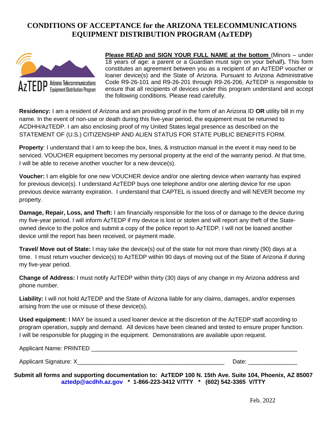#### **CONDITIONS OF ACCEPTANCE for the ARIZONA TELECOMMUNICATIONS EQUIPMENT DISTRIBUTION PROGRAM (AzTEDP)**



**Please READ and SIGN YOUR FULL NAME at the bottom** (Minors – under 18 years of age: a parent or a Guardian must sign on your behalf)*.* This form constitutes an agreement between you as a recipient of an AzTEDP voucher or loaner device(s) and the State of Arizona. Pursuant to Arizona Administrative Code R9-26-101 and R9-26-201 through R9-26-206, AzTEDP is responsible to ensure that all recipients of devices under this program understand and accept the following conditions. Please read carefully.

**Residency:** I am a resident of Arizona and am providing proof in the form of an Arizona ID **OR** utility bill in my name. In the event of non-use or death during this five-year period, the equipment must be returned to ACDHH/AzTEDP. I am also enclosing proof of my United States legal presence as described on the STATEMENT OF (U.S.) CITIZENSHIP AND ALIEN STATUS FOR STATE PUBLIC BENEFITS FORM.

**Property**: I understand that I am to keep the box, lines, & instruction manual in the event it may need to be serviced. VOUCHER equipment becomes my personal property at the end of the warranty period. At that time, I will be able to receive another voucher for a new device(s).

**Voucher:** I am eligible for one new VOUCHER device and/or one alerting device when warranty has expired for previous device(s). I understand AzTEDP buys one telephone and/or one alerting device for me upon previous device warranty expiration. I understand that CAPTEL is issued directly and will NEVER become my property.

**Damage, Repair, Loss, and Theft:** I am financially responsible for the loss of or damage to the device during my five-year period. I will inform AzTEDP if my device is lost or stolen and will report any theft of the Stateowned device to the police and submit a copy of the police report to AzTEDP. I will not be loaned another device until the report has been received, or payment made.

**Travel/ Move out of State:** I may take the device(s) out of the state for not more than ninety (90) days at a time. I must return voucher device(s) to AzTEDP within 90 days of moving out of the State of Arizona if during my five-year period.

**Change of Address:** I must notify AzTEDP within thirty (30) days of any change in my Arizona address and phone number.

**Liability:** I will not hold AzTEDP and the State of Arizona liable for any claims, damages, and/or expenses arising from the use or misuse of these device(s).

**Used equipment:** I MAY be issued a used loaner device at the discretion of the AzTEDP staff according to program operation, supply and demand. All devices have been cleaned and tested to ensure proper function. I will be responsible for plugging in the equipment. Demonstrations are available upon request.

| <b>Applicant Name: PRINTED</b> |  |
|--------------------------------|--|
|                                |  |

Applicant Signature: X and the set of the set of the set of the set of the set of the set of the set of the set of the set of the set of the set of the set of the set of the set of the set of the set of the set of the set

**Submit all forms and supporting documentation to: AzTEDP 100 N. 15th Ave. Suite 104, Phoenix, AZ 85007 [aztedp@acdhh.az.gov](mailto:aztedp@acdhh.az.gov) \* 1-866-223-3412 V/TTY \* (602) 542-3365 V/TTY**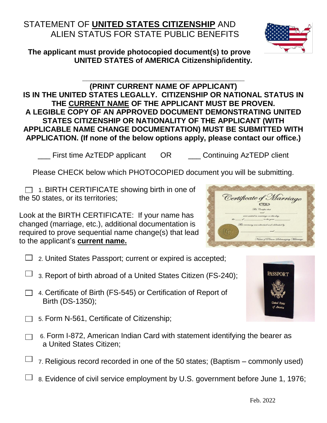# STATEMENT OF **UNITED STATES CITIZENSHIP** AND ALIEN STATUS FOR STATE PUBLIC BENEFITS

#### **The applicant must provide photocopied document(s) to prove UNITED STATES of AMERICA Citizenship/identity.**

**(PRINT CURRENT NAME OF APPLICANT) IS IN THE UNITED STATES LEGALLY. CITIZENSHIP OR NATIONAL STATUS IN THE CURRENT NAME OF THE APPLICANT MUST BE PROVEN. A LEGIBLE COPY OF AN APPROVED DOCUMENT DEMONSTRATING UNITED STATES CITIZENSHIP OR NATIONALITY OF THE APPLICANT (WITH APPLICABLE NAME CHANGE DOCUMENTATION) MUST BE SUBMITTED WITH APPLICATION. (If none of the below options apply, please contact our office.)**

**\_\_\_\_\_\_\_\_\_\_\_\_\_\_\_\_\_\_\_\_\_\_\_\_\_\_\_\_\_\_\_\_\_\_\_\_\_\_\_**

\_\_\_ First time AzTEDP applicant OR \_\_\_ Continuing AzTEDP client

Please CHECK below which PHOTOCOPIED document you will be submitting.

 $\Box$  1. BIRTH CERTIFICATE showing birth in one of the 50 states, or its territories;

Look at the BIRTH CERTIFICATE: If your name has changed (marriage, etc.), additional documentation is required to prove sequential name change(s) that lead to the applicant's **current name.**

- $\Box$  2. United States Passport; current or expired is accepted;
- 3. Report of birth abroad of a United States Citizen (FS-240);
- □ 4. Certificate of Birth (FS-545) or Certification of Report of Birth (DS-1350);
- $\Box$  5. Form N-561, Certificate of Citizenship;
	- 6. Form I-872, American Indian Card with statement identifying the bearer as a United States Citizen;
	- 7. Religious record recorded in one of the 50 states; (Baptism commonly used)
- 8. Evidence of civil service employment by U.S. government before June 1, 1976;





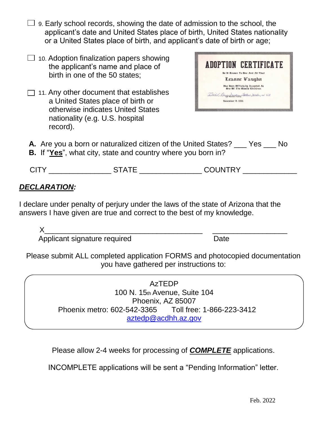- $\Box$  9. Early school records, showing the date of admission to the school, the applicant's date and United States place of birth, United States nationality or a United States place of birth, and applicant's date of birth or age;
- $\Box$  10. Adoption finalization papers showing the applicant's name and place of birth in one of the 50 states;
- $\Box$  11. Any other document that establishes a United States place of birth or otherwise indicates United States nationality (e.g. U.S. hospital record).



- **A.** Are you a born or naturalized citizen of the United States? Yes No
- **B.** If "**Yes**", what city, state and country where you born in?

|                          | $\mathbf{v}$ | COLINITOV     |
|--------------------------|--------------|---------------|
| $\overline{\phantom{a}}$ | .            | _ _ _ _ _ _ _ |

### *DECLARATION:*

I declare under penalty of perjury under the laws of the state of Arizona that the answers I have given are true and correct to the best of my knowledge.

X\_\_\_\_\_\_\_\_\_\_\_\_\_\_\_\_\_\_\_\_\_\_\_\_\_\_\_\_\_\_\_\_\_\_\_\_\_\_ \_\_\_\_\_\_\_\_\_\_\_\_\_\_\_\_\_\_ Applicant signature required Date

Please submit ALL completed application FORMS and photocopied documentation you have gathered per instructions to:

> AzTEDP 100 N. 15th Avenue, Suite 104 Phoenix, AZ 85007 Phoenix metro: 602-542-3365 Toll free: 1-866-223-3412 [aztedp@acdhh.az.gov](mailto:aztedp@acdhh.az.gov)

Please allow 2-4 weeks for processing of *COMPLETE* applications.

INCOMPLETE applications will be sent a "Pending Information" letter.